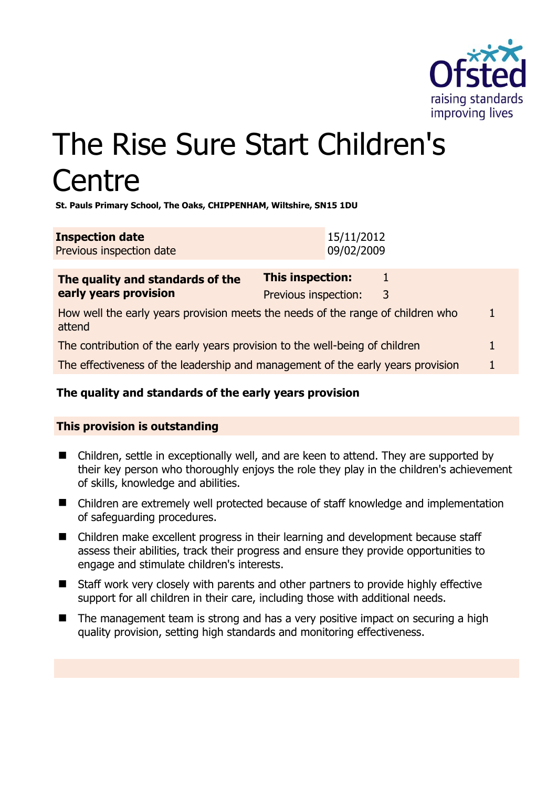

# The Rise Sure Start Children's **Centre**

**St. Pauls Primary School, The Oaks, CHIPPENHAM, Wiltshire, SN15 1DU** 

| <b>Inspection date</b>   | 15/11/2012 |
|--------------------------|------------|
| Previous inspection date | 09/02/2009 |

| The quality and standards of the                                                          | <b>This inspection:</b> |   |   |
|-------------------------------------------------------------------------------------------|-------------------------|---|---|
| early years provision                                                                     | Previous inspection:    | 3 |   |
| How well the early years provision meets the needs of the range of children who<br>attend |                         |   | 1 |
| The contribution of the early years provision to the well-being of children               |                         |   |   |
| The effectiveness of the leadership and management of the early years provision           |                         |   |   |

## **The quality and standards of the early years provision**

## **This provision is outstanding**

- Children, settle in exceptionally well, and are keen to attend. They are supported by their key person who thoroughly enjoys the role they play in the children's achievement of skills, knowledge and abilities.
- Children are extremely well protected because of staff knowledge and implementation of safeguarding procedures.
- Children make excellent progress in their learning and development because staff assess their abilities, track their progress and ensure they provide opportunities to engage and stimulate children's interests.
- Staff work very closely with parents and other partners to provide highly effective support for all children in their care, including those with additional needs.
- The management team is strong and has a very positive impact on securing a high quality provision, setting high standards and monitoring effectiveness.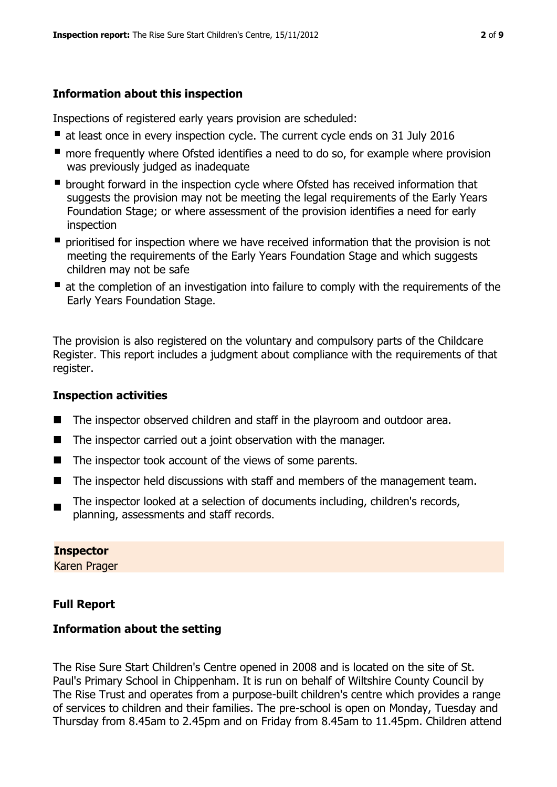## **Information about this inspection**

Inspections of registered early years provision are scheduled:

- at least once in every inspection cycle. The current cycle ends on 31 July 2016
- **n** more frequently where Ofsted identifies a need to do so, for example where provision was previously judged as inadequate
- **•** brought forward in the inspection cycle where Ofsted has received information that suggests the provision may not be meeting the legal requirements of the Early Years Foundation Stage; or where assessment of the provision identifies a need for early inspection
- **P** prioritised for inspection where we have received information that the provision is not meeting the requirements of the Early Years Foundation Stage and which suggests children may not be safe
- at the completion of an investigation into failure to comply with the requirements of the Early Years Foundation Stage.

The provision is also registered on the voluntary and compulsory parts of the Childcare Register. This report includes a judgment about compliance with the requirements of that register.

## **Inspection activities**

- The inspector observed children and staff in the playroom and outdoor area.
- The inspector carried out a joint observation with the manager.
- $\blacksquare$  The inspector took account of the views of some parents.
- The inspector held discussions with staff and members of the management team.
- $\blacksquare$ The inspector looked at a selection of documents including, children's records, planning, assessments and staff records.

## **Inspector**

Karen Prager

## **Full Report**

## **Information about the setting**

The Rise Sure Start Children's Centre opened in 2008 and is located on the site of St. Paul's Primary School in Chippenham. It is run on behalf of Wiltshire County Council by The Rise Trust and operates from a purpose-built children's centre which provides a range of services to children and their families. The pre-school is open on Monday, Tuesday and Thursday from 8.45am to 2.45pm and on Friday from 8.45am to 11.45pm. Children attend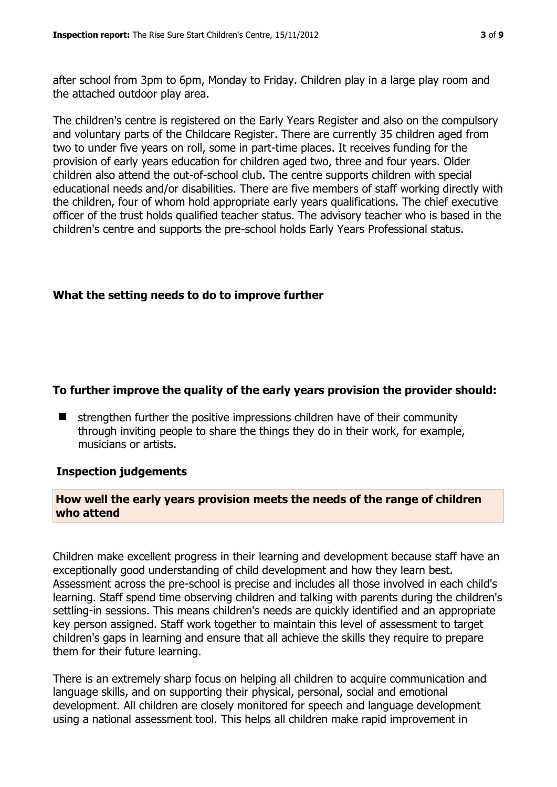after school from 3pm to 6pm, Monday to Friday. Children play in a large play room and the attached outdoor play area.

The children's centre is registered on the Early Years Register and also on the compulsory and voluntary parts of the Childcare Register. There are currently 35 children aged from two to under five years on roll, some in part-time places. It receives funding for the provision of early years education for children aged two, three and four years. Older children also attend the out-of-school club. The centre supports children with special educational needs and/or disabilities. There are five members of staff working directly with the children, four of whom hold appropriate early years qualifications. The chief executive officer of the trust holds qualified teacher status. The advisory teacher who is based in the children's centre and supports the pre-school holds Early Years Professional status.

#### **What the setting needs to do to improve further**

#### **To further improve the quality of the early years provision the provider should:**

 strengthen further the positive impressions children have of their community through inviting people to share the things they do in their work, for example, musicians or artists.

#### **Inspection judgements**

#### **How well the early years provision meets the needs of the range of children who attend**

Children make excellent progress in their learning and development because staff have an exceptionally good understanding of child development and how they learn best. Assessment across the pre-school is precise and includes all those involved in each child's learning. Staff spend time observing children and talking with parents during the children's settling-in sessions. This means children's needs are quickly identified and an appropriate key person assigned. Staff work together to maintain this level of assessment to target children's gaps in learning and ensure that all achieve the skills they require to prepare them for their future learning.

There is an extremely sharp focus on helping all children to acquire communication and language skills, and on supporting their physical, personal, social and emotional development. All children are closely monitored for speech and language development using a national assessment tool. This helps all children make rapid improvement in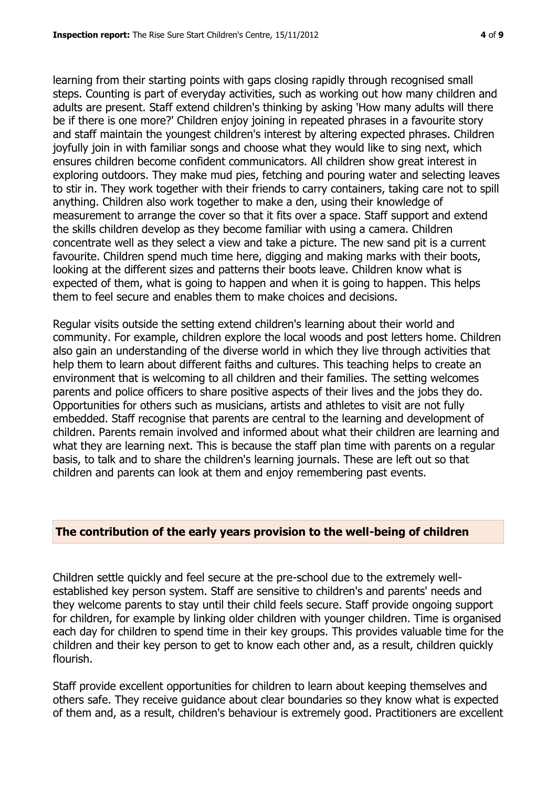learning from their starting points with gaps closing rapidly through recognised small steps. Counting is part of everyday activities, such as working out how many children and adults are present. Staff extend children's thinking by asking 'How many adults will there be if there is one more?' Children enjoy joining in repeated phrases in a favourite story and staff maintain the youngest children's interest by altering expected phrases. Children joyfully join in with familiar songs and choose what they would like to sing next, which ensures children become confident communicators. All children show great interest in exploring outdoors. They make mud pies, fetching and pouring water and selecting leaves to stir in. They work together with their friends to carry containers, taking care not to spill anything. Children also work together to make a den, using their knowledge of measurement to arrange the cover so that it fits over a space. Staff support and extend the skills children develop as they become familiar with using a camera. Children concentrate well as they select a view and take a picture. The new sand pit is a current favourite. Children spend much time here, digging and making marks with their boots, looking at the different sizes and patterns their boots leave. Children know what is expected of them, what is going to happen and when it is going to happen. This helps them to feel secure and enables them to make choices and decisions.

Regular visits outside the setting extend children's learning about their world and community. For example, children explore the local woods and post letters home. Children also gain an understanding of the diverse world in which they live through activities that help them to learn about different faiths and cultures. This teaching helps to create an environment that is welcoming to all children and their families. The setting welcomes parents and police officers to share positive aspects of their lives and the jobs they do. Opportunities for others such as musicians, artists and athletes to visit are not fully embedded. Staff recognise that parents are central to the learning and development of children. Parents remain involved and informed about what their children are learning and what they are learning next. This is because the staff plan time with parents on a regular basis, to talk and to share the children's learning journals. These are left out so that children and parents can look at them and enjoy remembering past events.

#### **The contribution of the early years provision to the well-being of children**

Children settle quickly and feel secure at the pre-school due to the extremely wellestablished key person system. Staff are sensitive to children's and parents' needs and they welcome parents to stay until their child feels secure. Staff provide ongoing support for children, for example by linking older children with younger children. Time is organised each day for children to spend time in their key groups. This provides valuable time for the children and their key person to get to know each other and, as a result, children quickly flourish.

Staff provide excellent opportunities for children to learn about keeping themselves and others safe. They receive guidance about clear boundaries so they know what is expected of them and, as a result, children's behaviour is extremely good. Practitioners are excellent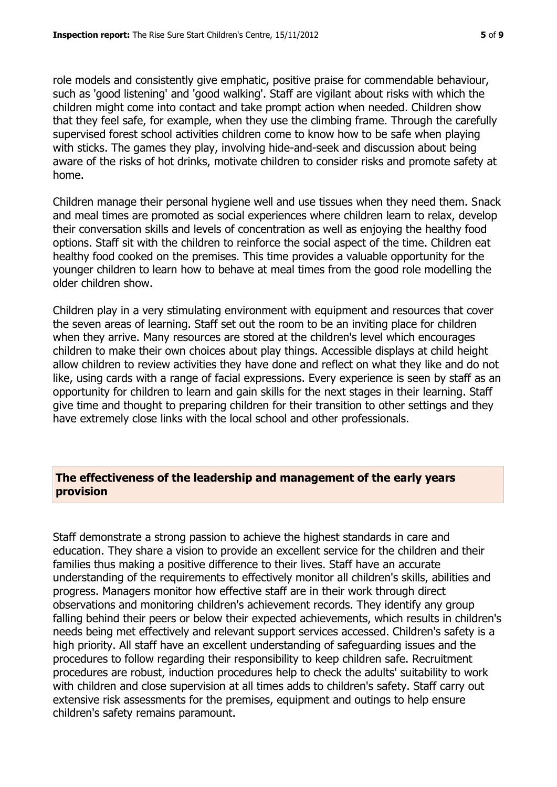role models and consistently give emphatic, positive praise for commendable behaviour, such as 'good listening' and 'good walking'. Staff are vigilant about risks with which the children might come into contact and take prompt action when needed. Children show that they feel safe, for example, when they use the climbing frame. Through the carefully supervised forest school activities children come to know how to be safe when playing with sticks. The games they play, involving hide-and-seek and discussion about being aware of the risks of hot drinks, motivate children to consider risks and promote safety at home.

Children manage their personal hygiene well and use tissues when they need them. Snack and meal times are promoted as social experiences where children learn to relax, develop their conversation skills and levels of concentration as well as enjoying the healthy food options. Staff sit with the children to reinforce the social aspect of the time. Children eat healthy food cooked on the premises. This time provides a valuable opportunity for the younger children to learn how to behave at meal times from the good role modelling the older children show.

Children play in a very stimulating environment with equipment and resources that cover the seven areas of learning. Staff set out the room to be an inviting place for children when they arrive. Many resources are stored at the children's level which encourages children to make their own choices about play things. Accessible displays at child height allow children to review activities they have done and reflect on what they like and do not like, using cards with a range of facial expressions. Every experience is seen by staff as an opportunity for children to learn and gain skills for the next stages in their learning. Staff give time and thought to preparing children for their transition to other settings and they have extremely close links with the local school and other professionals.

#### **The effectiveness of the leadership and management of the early years provision**

Staff demonstrate a strong passion to achieve the highest standards in care and education. They share a vision to provide an excellent service for the children and their families thus making a positive difference to their lives. Staff have an accurate understanding of the requirements to effectively monitor all children's skills, abilities and progress. Managers monitor how effective staff are in their work through direct observations and monitoring children's achievement records. They identify any group falling behind their peers or below their expected achievements, which results in children's needs being met effectively and relevant support services accessed. Children's safety is a high priority. All staff have an excellent understanding of safeguarding issues and the procedures to follow regarding their responsibility to keep children safe. Recruitment procedures are robust, induction procedures help to check the adults' suitability to work with children and close supervision at all times adds to children's safety. Staff carry out extensive risk assessments for the premises, equipment and outings to help ensure children's safety remains paramount.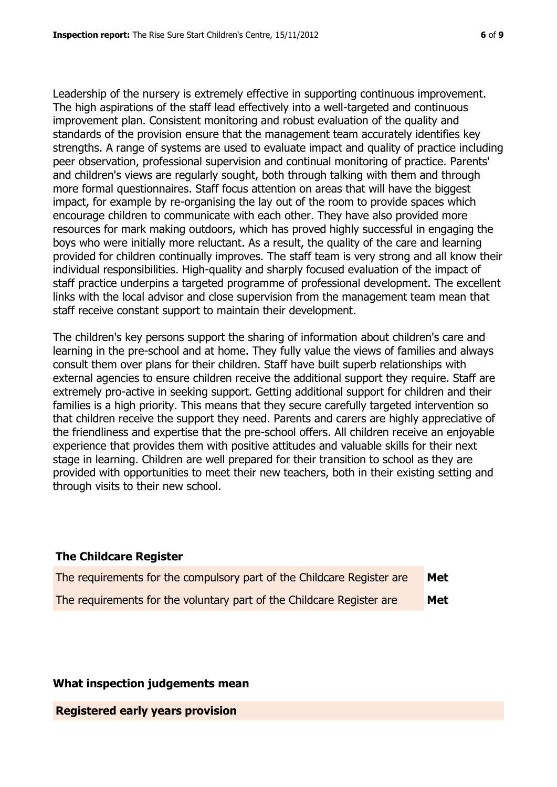Leadership of the nursery is extremely effective in supporting continuous improvement. The high aspirations of the staff lead effectively into a well-targeted and continuous improvement plan. Consistent monitoring and robust evaluation of the quality and standards of the provision ensure that the management team accurately identifies key strengths. A range of systems are used to evaluate impact and quality of practice including peer observation, professional supervision and continual monitoring of practice. Parents' and children's views are regularly sought, both through talking with them and through more formal questionnaires. Staff focus attention on areas that will have the biggest impact, for example by re-organising the lay out of the room to provide spaces which encourage children to communicate with each other. They have also provided more resources for mark making outdoors, which has proved highly successful in engaging the boys who were initially more reluctant. As a result, the quality of the care and learning provided for children continually improves. The staff team is very strong and all know their individual responsibilities. High-quality and sharply focused evaluation of the impact of staff practice underpins a targeted programme of professional development. The excellent links with the local advisor and close supervision from the management team mean that staff receive constant support to maintain their development.

The children's key persons support the sharing of information about children's care and learning in the pre-school and at home. They fully value the views of families and always consult them over plans for their children. Staff have built superb relationships with external agencies to ensure children receive the additional support they require. Staff are extremely pro-active in seeking support. Getting additional support for children and their families is a high priority. This means that they secure carefully targeted intervention so that children receive the support they need. Parents and carers are highly appreciative of the friendliness and expertise that the pre-school offers. All children receive an enjoyable experience that provides them with positive attitudes and valuable skills for their next stage in learning. Children are well prepared for their transition to school as they are provided with opportunities to meet their new teachers, both in their existing setting and through visits to their new school.

#### **The Childcare Register**

| The requirements for the compulsory part of the Childcare Register are | Met        |
|------------------------------------------------------------------------|------------|
| The requirements for the voluntary part of the Childcare Register are  | <b>Met</b> |

#### **What inspection judgements mean**

**Registered early years provision**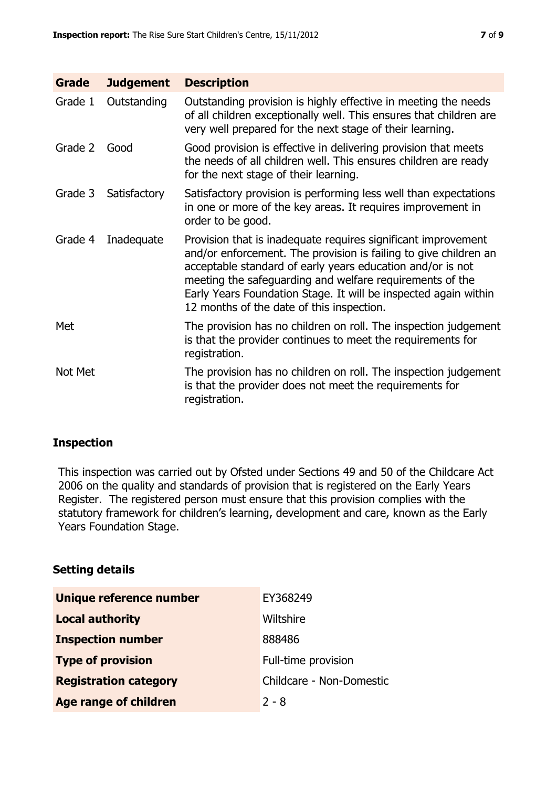| <b>Grade</b> | <b>Judgement</b> | <b>Description</b>                                                                                                                                                                                                                                                                                                                                                          |
|--------------|------------------|-----------------------------------------------------------------------------------------------------------------------------------------------------------------------------------------------------------------------------------------------------------------------------------------------------------------------------------------------------------------------------|
| Grade 1      | Outstanding      | Outstanding provision is highly effective in meeting the needs<br>of all children exceptionally well. This ensures that children are<br>very well prepared for the next stage of their learning.                                                                                                                                                                            |
| Grade 2      | Good             | Good provision is effective in delivering provision that meets<br>the needs of all children well. This ensures children are ready<br>for the next stage of their learning.                                                                                                                                                                                                  |
| Grade 3      | Satisfactory     | Satisfactory provision is performing less well than expectations<br>in one or more of the key areas. It requires improvement in<br>order to be good.                                                                                                                                                                                                                        |
| Grade 4      | Inadequate       | Provision that is inadequate requires significant improvement<br>and/or enforcement. The provision is failing to give children an<br>acceptable standard of early years education and/or is not<br>meeting the safeguarding and welfare requirements of the<br>Early Years Foundation Stage. It will be inspected again within<br>12 months of the date of this inspection. |
| Met          |                  | The provision has no children on roll. The inspection judgement<br>is that the provider continues to meet the requirements for<br>registration.                                                                                                                                                                                                                             |
| Not Met      |                  | The provision has no children on roll. The inspection judgement<br>is that the provider does not meet the requirements for<br>registration.                                                                                                                                                                                                                                 |

### **Inspection**

This inspection was carried out by Ofsted under Sections 49 and 50 of the Childcare Act 2006 on the quality and standards of provision that is registered on the Early Years Register. The registered person must ensure that this provision complies with the statutory framework for children's learning, development and care, known as the Early Years Foundation Stage.

#### **Setting details**

| Unique reference number      | EY368249                 |  |
|------------------------------|--------------------------|--|
| <b>Local authority</b>       | Wiltshire                |  |
| <b>Inspection number</b>     | 888486                   |  |
| <b>Type of provision</b>     | Full-time provision      |  |
| <b>Registration category</b> | Childcare - Non-Domestic |  |
| <b>Age range of children</b> | $2 - 8$                  |  |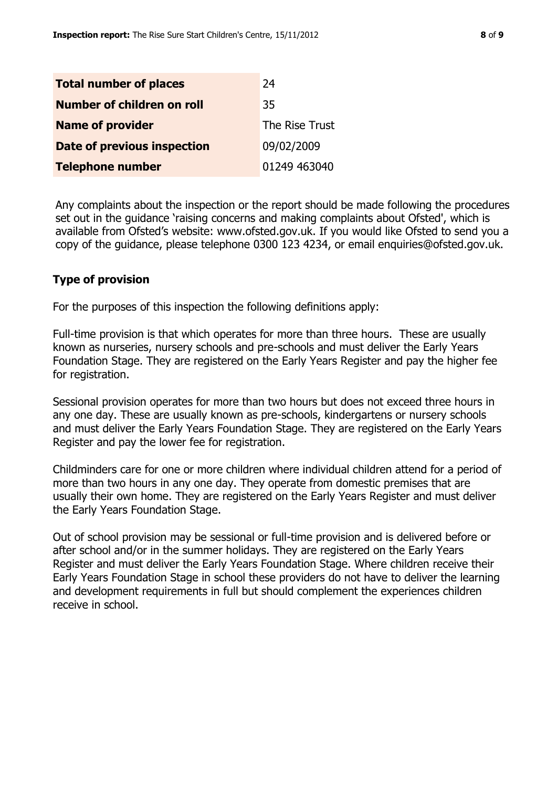| <b>Total number of places</b> | 24             |
|-------------------------------|----------------|
| Number of children on roll    | 35             |
| <b>Name of provider</b>       | The Rise Trust |
| Date of previous inspection   | 09/02/2009     |
| <b>Telephone number</b>       | 01249 463040   |

Any complaints about the inspection or the report should be made following the procedures set out in the guidance 'raising concerns and making complaints about Ofsted', which is available from Ofsted's website: www.ofsted.gov.uk. If you would like Ofsted to send you a copy of the guidance, please telephone 0300 123 4234, or email enquiries@ofsted.gov.uk.

#### **Type of provision**

For the purposes of this inspection the following definitions apply:

Full-time provision is that which operates for more than three hours. These are usually known as nurseries, nursery schools and pre-schools and must deliver the Early Years Foundation Stage. They are registered on the Early Years Register and pay the higher fee for registration.

Sessional provision operates for more than two hours but does not exceed three hours in any one day. These are usually known as pre-schools, kindergartens or nursery schools and must deliver the Early Years Foundation Stage. They are registered on the Early Years Register and pay the lower fee for registration.

Childminders care for one or more children where individual children attend for a period of more than two hours in any one day. They operate from domestic premises that are usually their own home. They are registered on the Early Years Register and must deliver the Early Years Foundation Stage.

Out of school provision may be sessional or full-time provision and is delivered before or after school and/or in the summer holidays. They are registered on the Early Years Register and must deliver the Early Years Foundation Stage. Where children receive their Early Years Foundation Stage in school these providers do not have to deliver the learning and development requirements in full but should complement the experiences children receive in school.